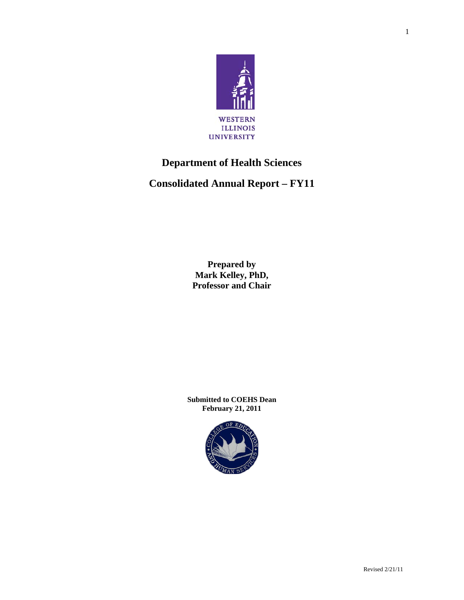

# **Department of Health Sciences**

**Consolidated Annual Report – FY11** 

**Prepared by Mark Kelley, PhD, Professor and Chair**

**Submitted to COEHS Dean February 21, 2011** 

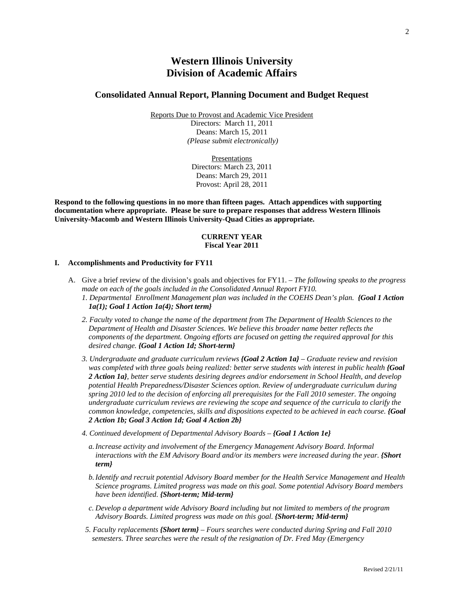## **Western Illinois University Division of Academic Affairs**

## **Consolidated Annual Report, Planning Document and Budget Request**

Reports Due to Provost and Academic Vice President Directors: March 11, 2011 Deans: March 15, 2011  *(Please submit electronically)* 

> Presentations Directors: March 23, 2011 Deans: March 29, 2011 Provost: April 28, 2011

**Respond to the following questions in no more than fifteen pages. Attach appendices with supporting documentation where appropriate. Please be sure to prepare responses that address Western Illinois University-Macomb and Western Illinois University-Quad Cities as appropriate.** 

## **CURRENT YEAR Fiscal Year 2011**

#### **I. Accomplishments and Productivity for FY11**

- A. Give a brief review of the division's goals and objectives for FY11. *The following speaks to the progress made on each of the goals included in the Consolidated Annual Report FY10. 1. Departmental Enrollment Management plan was included in the COEHS Dean's plan. {Goal 1 Action 1a(1); Goal 1 Action 1a(4); Short term}*
	- *2. Faculty voted to change the name of the department from The Department of Health Sciences to the Department of Health and Disaster Sciences. We believe this broader name better reflects the components of the department. Ongoing efforts are focused on getting the required approval for this desired change. {Goal 1 Action 1d; Short-term}*
	- *3. Undergraduate and graduate curriculum reviews {Goal 2 Action 1a} Graduate review and revision was completed with three goals being realized: better serve students with interest in public health <i>{Goal 2 Action 1a}, better serve students desiring degrees and/or endorsement in School Health, and develop potential Health Preparedness/Disaster Sciences option. Review of undergraduate curriculum during spring 2010 led to the decision of enforcing all prerequisites for the Fall 2010 semester. The ongoing undergraduate curriculum reviews are reviewing the scope and sequence of the curricula to clarify the common knowledge, competencies, skills and dispositions expected to be achieved in each course. <i>{Goal 2 Action 1b; Goal 3 Action 1d; Goal 4 Action 2b}*
	- *4. Continued development of Departmental Advisory Boards {Goal 1 Action 1e}*
		- *a.Increase activity and involvement of the Emergency Management Advisory Board. Informal interactions with the EM Advisory Board and/or its members were increased during the year. {Short term}*
		- *b.Identify and recruit potential Advisory Board member for the Health Service Management and Health Science programs. Limited progress was made on this goal. Some potential Advisory Board members have been identified. {Short-term; Mid-term}*
		- *c. Develop a department wide Advisory Board including but not limited to members of the program Advisory Boards. Limited progress was made on this goal. {Short-term; Mid-term}*
	- *5. Faculty replacements {Short term} Fours searches were conducted during Spring and Fall 2010 semesters. Three searches were the result of the resignation of Dr. Fred May (Emergency*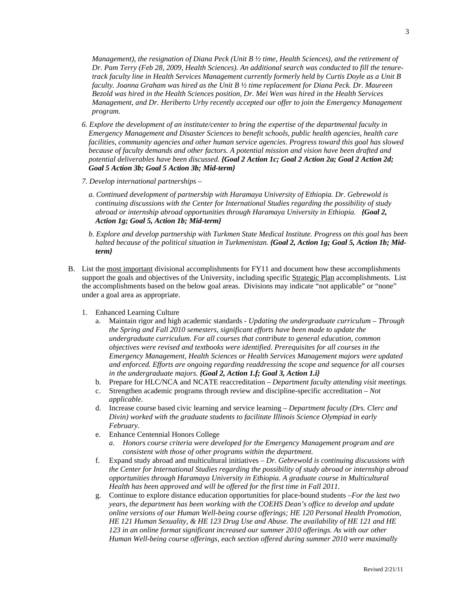*Management), the resignation of Diana Peck (Unit B ½ time, Health Sciences), and the retirement of Dr. Pam Terry (Feb 28, 2009, Health Sciences). An additional search was conducted to fill the tenuretrack faculty line in Health Services Management currently formerly held by Curtis Doyle as a Unit B faculty. Joanna Graham was hired as the Unit B ½ time replacement for Diana Peck. Dr. Maureen Bezold was hired in the Health Sciences position, Dr. Mei Wen was hired in the Health Services Management, and Dr. Heriberto Urby recently accepted our offer to join the Emergency Management program.* 

- *6. Explore the development of an institute/center to bring the expertise of the departmental faculty in Emergency Management and Disaster Sciences to benefit schools, public health agencies, health care facilities, community agencies and other human service agencies. Progress toward this goal has slowed because of faculty demands and other factors. A potential mission and vision have been drafted and potential deliverables have been discussed. {Goal 2 Action 1c; Goal 2 Action 2a; Goal 2 Action 2d; Goal 5 Action 3b; Goal 5 Action 3b; Mid-term}*
- *7. Develop international partnerships* 
	- *a. Continued development of partnership with Haramaya University of Ethiopia. Dr. Gebrewold is continuing discussions with the Center for International Studies regarding the possibility of study abroad or internship abroad opportunities through Haramaya University in Ethiopia. {Goal 2, Action 1g; Goal 5, Action 1b; Mid-term}*
	- *b. Explore and develop partnership with Turkmen State Medical Institute. Progress on this goal has been*  halted because of the political situation in Turkmenistan. **{Goal 2, Action 1g; Goal 5, Action 1b; Mid***term}*
- B. List the most important divisional accomplishments for FY11 and document how these accomplishments support the goals and objectives of the University, including specific Strategic Plan accomplishments. List the accomplishments based on the below goal areas. Divisions may indicate "not applicable" or "none" under a goal area as appropriate.
	- 1. Enhanced Learning Culture
		- a. Maintain rigor and high academic standards *Updating the undergraduate curriculum Through the Spring and Fall 2010 semesters, significant efforts have been made to update the undergraduate curriculum. For all courses that contribute to general education, common objectives were revised and textbooks were identified. Prerequisites for all courses in the Emergency Management, Health Sciences or Health Services Management majors were updated and enforced. Efforts are ongoing regarding readdressing the scope and sequence for all courses in the undergraduate majors. {Goal 2, Action 1.f; Goal 3, Action 1.i}*
		- b. Prepare for HLC/NCA and NCATE reaccreditation *Department faculty attending visit meetings.*
		- c. Strengthen academic programs through review and discipline-specific accreditation *Not applicable.*
		- d. Increase course based civic learning and service learning *Department faculty (Drs. Clerc and Divin) worked with the graduate students to facilitate Illinois Science Olympiad in early February.*
		- e. Enhance Centennial Honors College
			- *a. Honors course criteria were developed for the Emergency Management program and are consistent with those of other programs within the department.*
		- f. Expand study abroad and multicultural initiatives – *Dr. Gebrewold is continuing discussions with the Center for International Studies regarding the possibility of study abroad or internship abroad opportunities through Haramaya University in Ethiopia. A graduate course in Multicultural Health has been approved and will be offered for the first time in Fall 2011.*
		- g. Continue to explore distance education opportunities for place-bound students –*For the last two years, the department has been working with the COEHS Dean's office to develop and update online versions of our Human Well-being course offerings; HE 120 Personal Health Promotion, HE 121 Human Sexuality, & HE 123 Drug Use and Abuse. The availability of HE 121 and HE 123 in an online format significant increased our summer 2010 offerings. As with our other Human Well-being course offerings, each section offered during summer 2010 were maximally*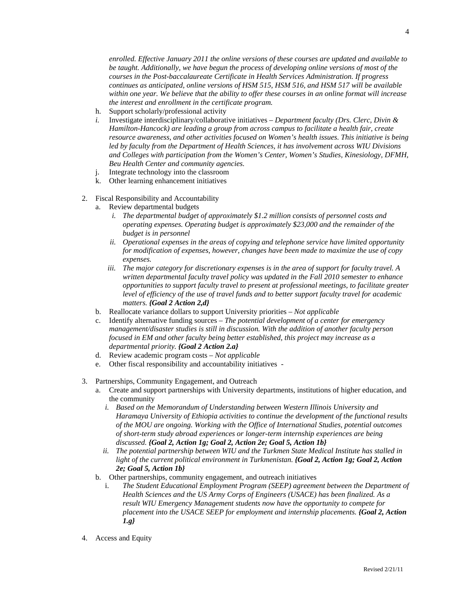*enrolled. Effective January 2011 the online versions of these courses are updated and available to be taught. Additionally, we have begun the process of developing online versions of most of the courses in the Post-baccalaureate Certificate in Health Services Administration. If progress continues as anticipated, online versions of HSM 515, HSM 516, and HSM 517 will be available within one year. We believe that the ability to offer these courses in an online format will increase the interest and enrollment in the certificate program.* 

- h. Support scholarly/professional activity
- *i.* Investigate interdisciplinary/collaborative initiatives *Department faculty (Drs. Clerc, Divin & Hamilton-Hancock) are leading a group from across campus to facilitate a health fair, create resource awareness, and other activities focused on Women's health issues. This initiative is being led by faculty from the Department of Health Sciences, it has involvement across WIU Divisions and Colleges with participation from the Women's Center, Women's Studies, Kinesiology, DFMH, Beu Health Center and community agencies.*
- j. Integrate technology into the classroom
- k. Other learning enhancement initiatives
- 2. Fiscal Responsibility and Accountability
	- a. Review departmental budgets
		- *i. The departmental budget of approximately \$1.2 million consists of personnel costs and operating expenses. Operating budget is approximately \$23,000 and the remainder of the budget is in personnel*
		- *ii. Operational expenses in the areas of copying and telephone service have limited opportunity for modification of expenses, however, changes have been made to maximize the use of copy expenses.*
		- *iii. The major category for discretionary expenses is in the area of support for faculty travel. A written departmental faculty travel policy was updated in the Fall 2010 semester to enhance opportunities to support faculty travel to present at professional meetings, to facilitate greater level of efficiency of the use of travel funds and to better support faculty travel for academic matters. {Goal 2 Action 2,d}*
		- b. Reallocate variance dollars to support University priorities *Not applicable*
		- c. Identify alternative funding sources *The potential development of a center for emergency management/disaster studies is still in discussion. With the addition of another faculty person focused in EM and other faculty being better established, this project may increase as a departmental priority. {Goal 2 Action 2.a}*
		- d. Review academic program costs *Not applicable*
		- e. Other fiscal responsibility and accountability initiatives -
- 3. Partnerships, Community Engagement, and Outreach
	- a. Create and support partnerships with University departments, institutions of higher education, and the community
		- *i. Based on the Memorandum of Understanding between Western Illinois University and Haramaya University of Ethiopia activities to continue the development of the functional results of the MOU are ongoing. Working with the Office of International Studies, potential outcomes of short-term study abroad experiences or longer-term internship experiences are being discussed. {Goal 2, Action 1g; Goal 2, Action 2e; Goal 5, Action 1b}*
		- *ii. The potential partnership between WIU and the Turkmen State Medical Institute has stalled in light of the current political environment in Turkmenistan. {Goal 2, Action 1g; Goal 2, Action 2e; Goal 5, Action 1b}*
	- b. Other partnerships, community engagement, and outreach initiatives
		- i. *The Student Educational Employment Program (SEEP) agreement between the Department of Health Sciences and the US Army Corps of Engineers (USACE) has been finalized. As a result WIU Emergency Management students now have the opportunity to compete for placement into the USACE SEEP for employment and internship placements. {Goal 2, Action 1.g}*
- 4. Access and Equity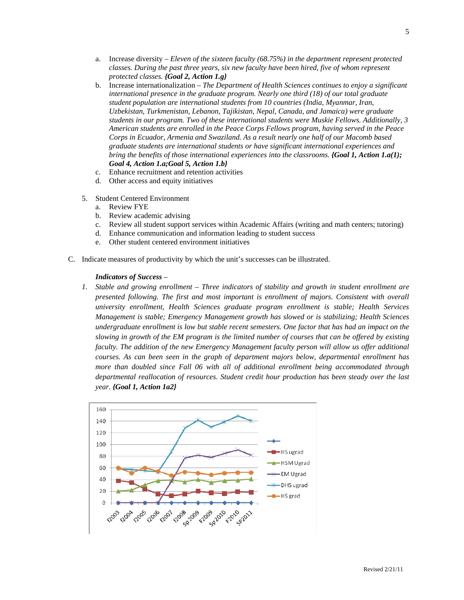- a. Increase diversity *Eleven of the sixteen faculty (68.75%) in the department represent protected classes. During the past three years, six new faculty have been hired, five of whom represent protected classes. {Goal 2, Action 1.g}*
- b. Increase internationalization *The Department of Health Sciences continues to enjoy a significant international presence in the graduate program. Nearly one third (18) of our total graduate student population are international students from 10 countries (India, Myanmar, Iran, Uzbekistan, Turkmenistan, Lebanon, Tajikistan, Nepal, Canada, and Jamaica) were graduate students in our program. Two of these international students were Muskie Fellows. Additionally, 3 American students are enrolled in the Peace Corps Fellows program, having served in the Peace Corps in Ecuador, Armenia and Swaziland. As a result nearly one half of our Macomb based graduate students are international students or have significant international experiences and bring the benefits of those international experiences into the classrooms. <i>{Goal 1, Action 1.a(1); Goal 4, Action 1.a;Goal 5, Action 1.b}*
- c. Enhance recruitment and retention activities
- d. Other access and equity initiatives
- 5. Student Centered Environment
	- a. Review FYE
	- b. Review academic advising
	- c. Review all student support services within Academic Affairs (writing and math centers; tutoring)
	- d. Enhance communication and information leading to student success
	- e. Other student centered environment initiatives
- C. Indicate measures of productivity by which the unit's successes can be illustrated.

#### *Indicators of Success* –

*1. Stable and growing enrollment – Three indicators of stability and growth in student enrollment are presented following. The first and most important is enrollment of majors. Consistent with overall university enrollment, Health Sciences graduate program enrollment is stable; Health Services Management is stable; Emergency Management growth has slowed or is stabilizing; Health Sciences undergraduate enrollment is low but stable recent semesters. One factor that has had an impact on the slowing in growth of the EM program is the limited number of courses that can be offered by existing faculty. The addition of the new Emergency Management faculty person will allow us offer additional courses. As can been seen in the graph of department majors below, departmental enrollment has more than doubled since Fall 06 with all of additional enrollment being accommodated through departmental reallocation of resources. Student credit hour production has been steady over the last year. {Goal 1, Action 1a2}*

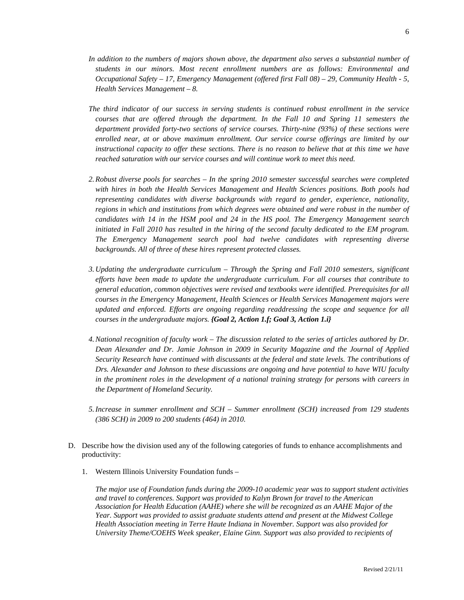- *In addition to the numbers of majors shown above, the department also serves a substantial number of students in our minors. Most recent enrollment numbers are as follows: Environmental and Occupational Safety – 17, Emergency Management (offered first Fall 08) – 29, Community Health - 5, Health Services Management – 8.*
- *The third indicator of our success in serving students is continued robust enrollment in the service courses that are offered through the department. In the Fall 10 and Spring 11 semesters the department provided forty-two sections of service courses. Thirty-nine (93%) of these sections were enrolled near, at or above maximum enrollment. Our service course offerings are limited by our instructional capacity to offer these sections. There is no reason to believe that at this time we have reached saturation with our service courses and will continue work to meet this need.*
- *2.Robust diverse pools for searches In the spring 2010 semester successful searches were completed with hires in both the Health Services Management and Health Sciences positions. Both pools had representing candidates with diverse backgrounds with regard to gender, experience, nationality, regions in which and institutions from which degrees were obtained and were robust in the number of candidates with 14 in the HSM pool and 24 in the HS pool. The Emergency Management search initiated in Fall 2010 has resulted in the hiring of the second faculty dedicated to the EM program. The Emergency Management search pool had twelve candidates with representing diverse backgrounds. All of three of these hires represent protected classes.*
- *3. Updating the undergraduate curriculum Through the Spring and Fall 2010 semesters, significant efforts have been made to update the undergraduate curriculum. For all courses that contribute to general education, common objectives were revised and textbooks were identified. Prerequisites for all courses in the Emergency Management, Health Sciences or Health Services Management majors were updated and enforced. Efforts are ongoing regarding readdressing the scope and sequence for all courses in the undergraduate majors. {Goal 2, Action 1.f; Goal 3, Action 1.i}*
- *4.National recognition of faculty work The discussion related to the series of articles authored by Dr. Dean Alexander and Dr. Jamie Johnson in 2009 in Security Magazine and the Journal of Applied Security Research have continued with discussants at the federal and state levels. The contributions of Drs. Alexander and Johnson to these discussions are ongoing and have potential to have WIU faculty in the prominent roles in the development of a national training strategy for persons with careers in the Department of Homeland Security.*
- *5.Increase in summer enrollment and SCH Summer enrollment (SCH) increased from 129 students (386 SCH) in 2009 to 200 students (464) in 2010.*
- D. Describe how the division used any of the following categories of funds to enhance accomplishments and productivity:
	- 1. Western Illinois University Foundation funds –

*The major use of Foundation funds during the 2009-10 academic year was to support student activities and travel to conferences. Support was provided to Kalyn Brown for travel to the American Association for Health Education (AAHE) where she will be recognized as an AAHE Major of the Year. Support was provided to assist graduate students attend and present at the Midwest College Health Association meeting in Terre Haute Indiana in November. Support was also provided for University Theme/COEHS Week speaker, Elaine Ginn. Support was also provided to recipients of*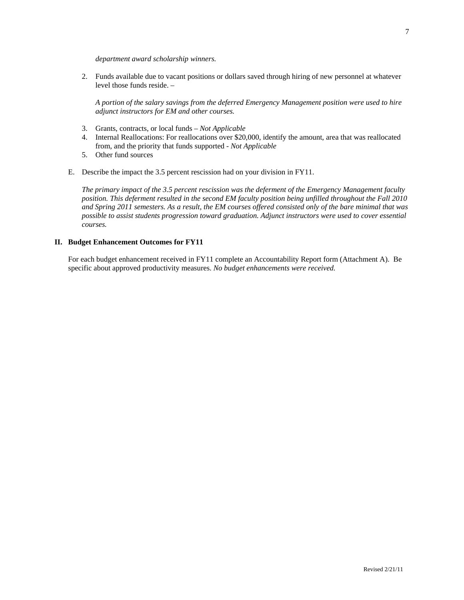2. Funds available due to vacant positions or dollars saved through hiring of new personnel at whatever level those funds reside. –

*A portion of the salary savings from the deferred Emergency Management position were used to hire adjunct instructors for EM and other courses.* 

3. Grants, contracts, or local funds – *Not Applicable*

*department award scholarship winners.* 

- 4. Internal Reallocations: For reallocations over \$20,000, identify the amount, area that was reallocated from, and the priority that funds supported - *Not Applicable*
- 5. Other fund sources
- E. Describe the impact the 3.5 percent rescission had on your division in FY11.

*The primary impact of the 3.5 percent rescission was the deferment of the Emergency Management faculty position. This deferment resulted in the second EM faculty position being unfilled throughout the Fall 2010 and Spring 2011 semesters. As a result, the EM courses offered consisted only of the bare minimal that was possible to assist students progression toward graduation. Adjunct instructors were used to cover essential courses.* 

## **II. Budget Enhancement Outcomes for FY11**

For each budget enhancement received in FY11 complete an Accountability Report form (Attachment A). Be specific about approved productivity measures. *No budget enhancements were received.*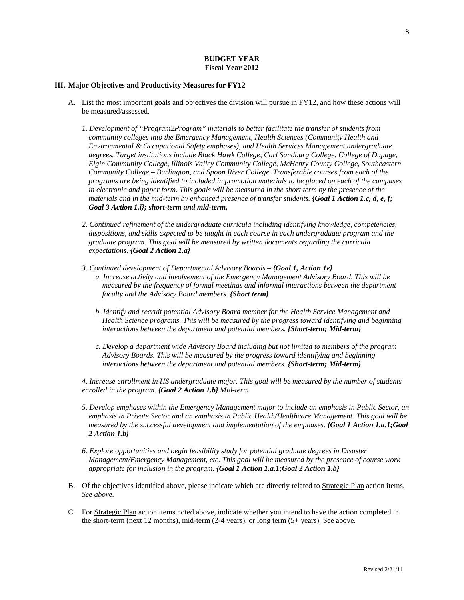## **BUDGET YEAR Fiscal Year 2012**

#### **III. Major Objectives and Productivity Measures for FY12**

- A. List the most important goals and objectives the division will pursue in FY12, and how these actions will be measured/assessed.
	- *1. Development of "Program2Program" materials to better facilitate the transfer of students from community colleges into the Emergency Management, Health Sciences (Community Health and Environmental & Occupational Safety emphases), and Health Services Management undergraduate degrees. Target institutions include Black Hawk College, Carl Sandburg College, College of Dupage, Elgin Community College, Illinois Valley Community College, McHenry County College, Southeastern Community College – Burlington, and Spoon River College. Transferable courses from each of the programs are being identified to included in promotion materials to be placed on each of the campuses in electronic and paper form. This goals will be measured in the short term by the presence of the materials and in the mid-term by enhanced presence of transfer students. <i>{Goal 1 Action 1.c, d, e, f; Goal 3 Action 1.i}; short-term and mid-term.*
	- *2. Continued refinement of the undergraduate curricula including identifying knowledge, competencies, dispositions, and skills expected to be taught in each course in each undergraduate program and the graduate program. This goal will be measured by written documents regarding the curricula expectations. {Goal 2 Action 1.a}*
	- *3. Continued development of Departmental Advisory Boards {Goal 1, Action 1e}* 
		- *a. Increase activity and involvement of the Emergency Management Advisory Board. This will be measured by the frequency of formal meetings and informal interactions between the department faculty and the Advisory Board members. {Short term}*
		- *b. Identify and recruit potential Advisory Board member for the Health Service Management and Health Science programs. This will be measured by the progress toward identifying and beginning interactions between the department and potential members. {Short-term; Mid-term}*
		- *c. Develop a department wide Advisory Board including but not limited to members of the program Advisory Boards. This will be measured by the progress toward identifying and beginning interactions between the department and potential members. {Short-term; Mid-term}*

*4. Increase enrollment in HS undergraduate major. This goal will be measured by the number of students enrolled in the program. {Goal 2 Action 1.b} Mid-term* 

- *5. Develop emphases within the Emergency Management major to include an emphasis in Public Sector, an emphasis in Private Sector and an emphasis in Public Health/Healthcare Management. This goal will be measured by the successful development and implementation of the emphases. {Goal 1 Action 1.a.1;Goal 2 Action 1.b}*
- *6. Explore opportunities and begin feasibility study for potential graduate degrees in Disaster Management/Emergency Management, etc. This goal will be measured by the presence of course work appropriate for inclusion in the program. {Goal 1 Action 1.a.1;Goal 2 Action 1.b}*
- B. Of the objectives identified above, please indicate which are directly related to Strategic Plan action items. *See above.*
- C. For Strategic Plan action items noted above, indicate whether you intend to have the action completed in the short-term (next 12 months), mid-term (2-4 years), or long term (5+ years). See above.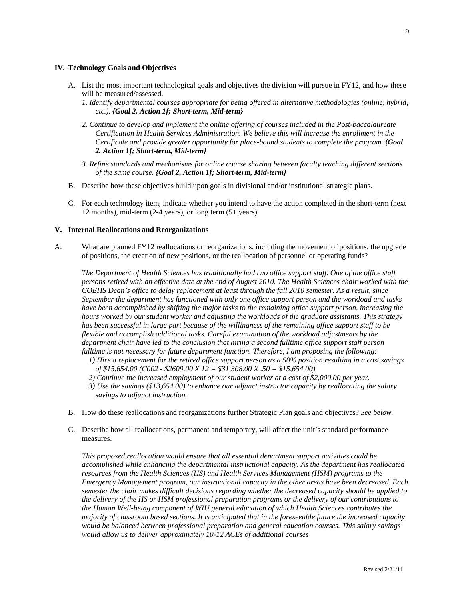#### **IV. Technology Goals and Objectives**

- A. List the most important technological goals and objectives the division will pursue in FY12, and how these will be measured/assessed.
	- *1. Identify departmental courses appropriate for being offered in alternative methodologies (online, hybrid, etc.). {Goal 2, Action 1f; Short-term, Mid-term}*
	- *2. Continue to develop and implement the online offering of courses included in the Post-baccalaureate Certification in Health Services Administration. We believe this will increase the enrollment in the Certificate and provide greater opportunity for place-bound students to complete the program. {Goal 2, Action 1f; Short-term, Mid-term}*
	- *3. Refine standards and mechanisms for online course sharing between faculty teaching different sections of the same course. {Goal 2, Action 1f; Short-term, Mid-term}*
- B. Describe how these objectives build upon goals in divisional and/or institutional strategic plans.
- C. For each technology item, indicate whether you intend to have the action completed in the short-term (next 12 months), mid-term (2-4 years), or long term (5+ years).

## **V. Internal Reallocations and Reorganizations**

A. What are planned FY12 reallocations or reorganizations, including the movement of positions, the upgrade of positions, the creation of new positions, or the reallocation of personnel or operating funds?

*The Department of Health Sciences has traditionally had two office support staff. One of the office staff persons retired with an effective date at the end of August 2010. The Health Sciences chair worked with the COEHS Dean's office to delay replacement at least through the fall 2010 semester. As a result, since September the department has functioned with only one office support person and the workload and tasks have been accomplished by shifting the major tasks to the remaining office support person, increasing the hours worked by our student worker and adjusting the workloads of the graduate assistants. This strategy has been successful in large part because of the willingness of the remaining office support staff to be flexible and accomplish additional tasks. Careful examination of the workload adjustments by the department chair have led to the conclusion that hiring a second fulltime office support staff person fulltime is not necessary for future department function. Therefore, I am proposing the following:* 

- *1) Hire a replacement for the retired office support person as a 50% position resulting in a cost savings of \$15,654.00 (C002 - \$2609.00 X 12 = \$31,308.00 X .50 = \$15,654.00)*
- *2) Continue the increased employment of our student worker at a cost of \$2,000.00 per year.*
- *3) Use the savings (\$13,654.00) to enhance our adjunct instructor capacity by reallocating the salary savings to adjunct instruction.*
- B. How do these reallocations and reorganizations further Strategic Plan goals and objectives? *See below.*
- C. Describe how all reallocations, permanent and temporary, will affect the unit's standard performance measures.

*This proposed reallocation would ensure that all essential department support activities could be accomplished while enhancing the departmental instructional capacity. As the department has reallocated resources from the Health Sciences (HS) and Health Services Management (HSM) programs to the Emergency Management program, our instructional capacity in the other areas have been decreased. Each semester the chair makes difficult decisions regarding whether the decreased capacity should be applied to the delivery of the HS or HSM professional preparation programs or the delivery of our contributions to the Human Well-being component of WIU general education of which Health Sciences contributes the majority of classroom based sections. It is anticipated that in the foreseeable future the increased capacity would be balanced between professional preparation and general education courses. This salary savings would allow us to deliver approximately 10-12 ACEs of additional courses*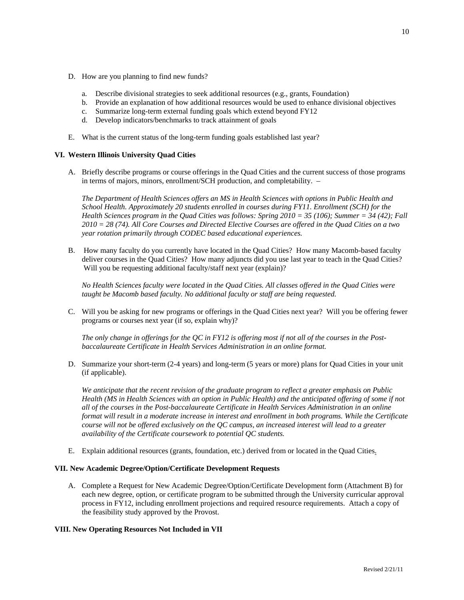- D. How are you planning to find new funds?
	- a. Describe divisional strategies to seek additional resources (e.g., grants, Foundation)
	- b. Provide an explanation of how additional resources would be used to enhance divisional objectives
	- c. Summarize long-term external funding goals which extend beyond FY12
	- d. Develop indicators/benchmarks to track attainment of goals
- E. What is the current status of the long-term funding goals established last year?

## **VI. Western Illinois University Quad Cities**

A. Briefly describe programs or course offerings in the Quad Cities and the current success of those programs in terms of majors, minors, enrollment/SCH production, and completability. –

*The Department of Health Sciences offers an MS in Health Sciences with options in Public Health and School Health. Approximately 20 students enrolled in courses during FY11. Enrollment (SCH) for the Health Sciences program in the Quad Cities was follows: Spring 2010 = 35 (106); Summer = 34 (42); Fall 2010 = 28 (74). All Core Courses and Directed Elective Courses are offered in the Quad Cities on a two year rotation primarily through CODEC based educational experiences.*

B. How many faculty do you currently have located in the Quad Cities? How many Macomb-based faculty deliver courses in the Quad Cities? How many adjuncts did you use last year to teach in the Quad Cities? Will you be requesting additional faculty/staff next year (explain)?

*No Health Sciences faculty were located in the Quad Cities. All classes offered in the Quad Cities were taught be Macomb based faculty. No additional faculty or staff are being requested.*

C. Will you be asking for new programs or offerings in the Quad Cities next year? Will you be offering fewer programs or courses next year (if so, explain why)?

*The only change in offerings for the QC in FY12 is offering most if not all of the courses in the Postbaccalaureate Certificate in Health Services Administration in an online format.*

D. Summarize your short-term (2-4 years) and long-term (5 years or more) plans for Quad Cities in your unit (if applicable).

*We anticipate that the recent revision of the graduate program to reflect a greater emphasis on Public Health (MS in Health Sciences with an option in Public Health) and the anticipated offering of some if not all of the courses in the Post-baccalaureate Certificate in Health Services Administration in an online format will result in a moderate increase in interest and enrollment in both programs. While the Certificate course will not be offered exclusively on the QC campus, an increased interest will lead to a greater availability of the Certificate coursework to potential QC students.* 

E. Explain additional resources (grants, foundation, etc.) derived from or located in the Quad Cities.

### **VII. New Academic Degree/Option/Certificate Development Requests**

A. Complete a Request for New Academic Degree/Option/Certificate Development form (Attachment B) for each new degree, option, or certificate program to be submitted through the University curricular approval process in FY12, including enrollment projections and required resource requirements. Attach a copy of the feasibility study approved by the Provost.

## **VIII. New Operating Resources Not Included in VII**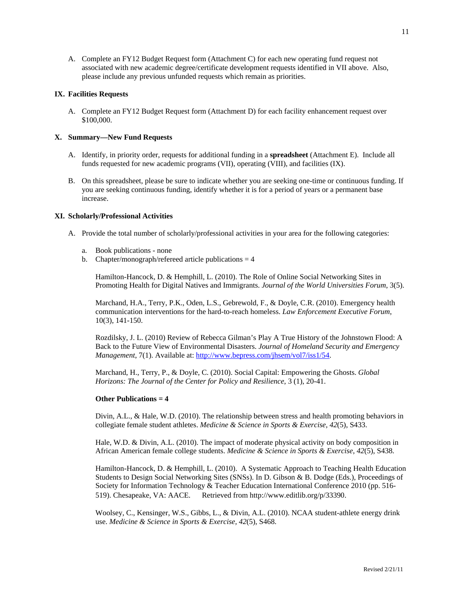A. Complete an FY12 Budget Request form (Attachment C) for each new operating fund request not associated with new academic degree/certificate development requests identified in VII above. Also, please include any previous unfunded requests which remain as priorities.

## **IX. Facilities Requests**

A. Complete an FY12 Budget Request form (Attachment D) for each facility enhancement request over \$100,000.

## **X. Summary—New Fund Requests**

- A. Identify, in priority order, requests for additional funding in a **spreadsheet** (Attachment E). Include all funds requested for new academic programs (VII), operating (VIII), and facilities (IX).
- B. On this spreadsheet, please be sure to indicate whether you are seeking one-time or continuous funding. If you are seeking continuous funding, identify whether it is for a period of years or a permanent base increase.

#### **XI. Scholarly/Professional Activities**

- A. Provide the total number of scholarly/professional activities in your area for the following categories:
	- a. Book publications none
	- b. Chapter/monograph/refereed article publications  $= 4$

Hamilton-Hancock, D. & Hemphill, L. (2010). The Role of Online Social Networking Sites in Promoting Health for Digital Natives and Immigrants. *Journal of the World Universities Forum*, 3(5).

Marchand, H.A., Terry, P.K., Oden, L.S., Gebrewold, F., & Doyle, C.R. (2010). Emergency health communication interventions for the hard-to-reach homeless. *Law Enforcement Executive Forum*, 10(3), 141-150.

Rozdilsky, J. L. (2010) Review of Rebecca Gilman's Play A True History of the Johnstown Flood: A Back to the Future View of Environmental Disasters. *Journal of Homeland Security and Emergency Management*, 7(1). Available at: http://www.bepress.com/jhsem/vol7/iss1/54.

Marchand, H., Terry, P., & Doyle, C. (2010). Social Capital: Empowering the Ghosts. *Global Horizons: The Journal of the Center for Policy and Resilience*, 3 (1), 20-41.

#### **Other Publications = 4**

Divin, A.L., & Hale, W.D. (2010). The relationship between stress and health promoting behaviors in collegiate female student athletes. *Medicine & Science in Sports & Exercise, 42*(5), S433.

Hale, W.D. & Divin, A.L. (2010). The impact of moderate physical activity on body composition in African American female college students. *Medicine & Science in Sports & Exercise*, *42*(5), S438.

Hamilton-Hancock, D. & Hemphill, L. (2010). A Systematic Approach to Teaching Health Education Students to Design Social Networking Sites (SNSs). In D. Gibson & B. Dodge (Eds.), Proceedings of Society for Information Technology & Teacher Education International Conference 2010 (pp. 516- 519). Chesapeake, VA: AACE. Retrieved from http://www.editlib.org/p/33390.

Woolsey, C., Kensinger, W.S., Gibbs, L., & Divin, A.L. (2010). NCAA student-athlete energy drink use. *Medicine & Science in Sports & Exercise, 42*(5), S468.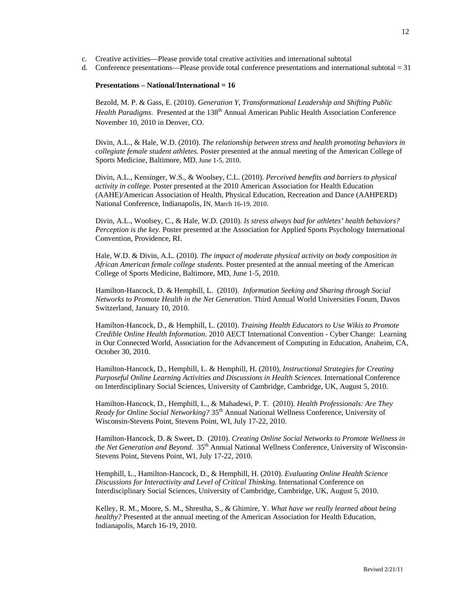- c. Creative activities—Please provide total creative activities and international subtotal
- d. Conference presentations—Please provide total conference presentations and international subtotal  $=$  31

#### **Presentations – National/International = 16**

Bezold, M. P. & Gass, E. (2010). *Generation Y, Transformational Leadership and Shifting Public*  Health Paradigms. Presented at the 138<sup>th</sup> Annual American Public Health Association Conference November 10, 2010 in Denver, CO.

Divin, A.L., & Hale, W.D. (2010). *The relationship between stress and health promoting behaviors in collegiate female student athletes.* Poster presented at the annual meeting of the American College of Sports Medicine, Baltimore, MD, June 1-5, 2010.

Divin, A.L., Kensinger, W.S., & Woolsey, C.L. (2010). *Perceived benefits and barriers to physical activity in college.* Poster presented at the 2010 American Association for Health Education (AAHE)/American Association of Health, Physical Education, Recreation and Dance (AAHPERD) National Conference, Indianapolis, IN, March 16-19, 2010.

Divin, A.L., Woolsey, C., & Hale, W.D. (2010). *Is stress always bad for athletes' health behaviors? Perception is the key.* Poster presented at the Association for Applied Sports Psychology International Convention, Providence, RI.

Hale, W.D. & Divin, A.L. (2010). *The impact of moderate physical activity on body composition in African American female college students.* Poster presented at the annual meeting of the American College of Sports Medicine, Baltimore, MD, June 1-5, 2010.

Hamilton-Hancock, D. & Hemphill, L. (2010). *Information Seeking and Sharing through Social Networks to Promote Health in the Net Generation.* Third Annual World Universities Forum, Davos Switzerland, January 10, 2010.

Hamilton-Hancock, D., & Hemphill, L. (2010). *Training Health Educators to Use Wikis to Promote Credible Online Health Information.* 2010 AECT International Convention - Cyber Change: Learning in Our Connected World, Association for the Advancement of Computing in Education, Anaheim, CA, October 30, 2010.

Hamilton-Hancock, D., Hemphill, L. & Hemphill, H. (2010), *Instructional Strategies for Creating Purposeful Online Learning Activities and Discussions in Health Sciences.* International Conference on Interdisciplinary Social Sciences, University of Cambridge, Cambridge, UK, August 5, 2010.

Hamilton-Hancock, D., Hemphill, L., & Mahadewi, P. T. (2010). *Health Professionals: Are They Ready for Online Social Networking?* 35th Annual National Wellness Conference, University of Wisconsin-Stevens Point, Stevens Point, WI, July 17-22, 2010.

Hamilton-Hancock, D. & Sweet, D. (2010). *Creating Online Social Networks to Promote Wellness in the Net Generation and Beyond.* 35<sup>th</sup> Annual National Wellness Conference, University of Wisconsin-Stevens Point, Stevens Point, WI, July 17-22, 2010.

Hemphill, L., Hamilton-Hancock, D., & Hemphill, H. (2010). *Evaluating Online Health Science Discussions for Interactivity and Level of Critical Thinking.* International Conference on Interdisciplinary Social Sciences, University of Cambridge, Cambridge, UK, August 5, 2010.

Kelley, R. M., Moore, S. M., Shrestha, S., & Ghimire, Y. *What have we really learned about being healthy?* Presented at the annual meeting of the American Association for Health Education, Indianapolis, March 16-19, 2010.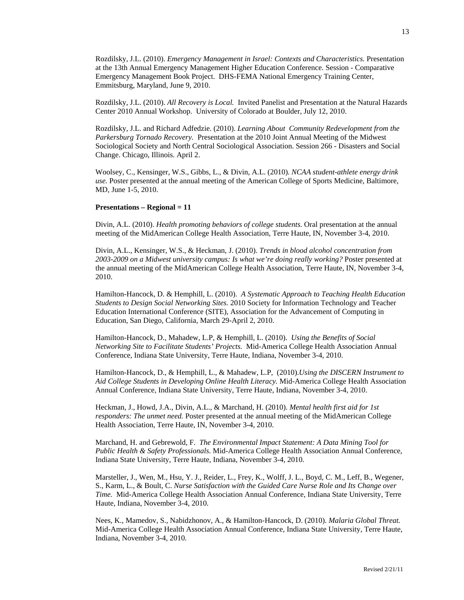Rozdilsky, J.L. (2010). *Emergency Management in Israel: Contexts and Characteristics.* Presentation at the 13th Annual Emergency Management Higher Education Conference. Session - Comparative Emergency Management Book Project. DHS-FEMA National Emergency Training Center, Emmitsburg, Maryland, June 9, 2010.

Rozdilsky, J.L. (2010). *All Recovery is Local.* Invited Panelist and Presentation at the Natural Hazards Center 2010 Annual Workshop. University of Colorado at Boulder, July 12, 2010.

Rozdilsky, J.L. and Richard Adfedzie. (2010). *Learning About Community Redevelopment from the Parkersburg Tornado Recovery.* Presentation at the 2010 Joint Annual Meeting of the Midwest Sociological Society and North Central Sociological Association. Session 266 - Disasters and Social Change. Chicago, Illinois. April 2.

Woolsey, C., Kensinger, W.S., Gibbs, L., & Divin, A.L. (2010). *NCAA student-athlete energy drink use.* Poster presented at the annual meeting of the American College of Sports Medicine, Baltimore, MD, June 1-5, 2010.

#### **Presentations – Regional = 11**

Divin, A.L. (2010). *Health promoting behaviors of college students.* Oral presentation at the annual meeting of the MidAmerican College Health Association, Terre Haute, IN, November 3-4, 2010.

Divin, A.L., Kensinger, W.S., & Heckman, J. (2010). *Trends in blood alcohol concentration from 2003-2009 on a Midwest university campus: Is what we're doing really working?* Poster presented at the annual meeting of the MidAmerican College Health Association, Terre Haute, IN, November 3-4, 2010.

Hamilton-Hancock, D. & Hemphill, L. (2010). *A Systematic Approach to Teaching Health Education Students to Design Social Networking Sites.* 2010 Society for Information Technology and Teacher Education International Conference (SITE), Association for the Advancement of Computing in Education, San Diego, California, March 29-April 2, 2010.

Hamilton-Hancock, D., Mahadew, L.P, & Hemphill, L. (2010). *Using the Benefits of Social Networking Site to Facilitate Students' Projects.* Mid-America College Health Association Annual Conference, Indiana State University, Terre Haute, Indiana, November 3-4, 2010.

Hamilton-Hancock, D., & Hemphill, L., & Mahadew, L.P, (2010).*Using the DISCERN Instrument to Aid College Students in Developing Online Health Literacy.* Mid-America College Health Association Annual Conference, Indiana State University, Terre Haute, Indiana, November 3-4, 2010.

Heckman, J., Howd, J.A., Divin, A.L., & Marchand, H. (2010). *Mental health first aid for 1st responders: The unmet need.* Poster presented at the annual meeting of the MidAmerican College Health Association, Terre Haute, IN, November 3-4, 2010.

Marchand, H. and Gebrewold, F. *The Environmental Impact Statement: A Data Mining Tool for Public Health & Safety Professionals.* Mid-America College Health Association Annual Conference, Indiana State University, Terre Haute, Indiana, November 3-4, 2010.

Marsteller, J., Wen, M., Hsu, Y. J., Reider, L., Frey, K., Wolff, J. L., Boyd, C. M., Leff, B., Wegener, S., Karm, L., & Boult, C. *Nurse Satisfaction with the Guided Care Nurse Role and Its Change over Time.* Mid-America College Health Association Annual Conference, Indiana State University, Terre Haute, Indiana, November 3-4, 2010.

Nees, K., Mamedov, S., Nabidzhonov, A., & Hamilton-Hancock, D. (2010). *Malaria Global Threat.* Mid-America College Health Association Annual Conference, Indiana State University, Terre Haute, Indiana, November 3-4, 2010.